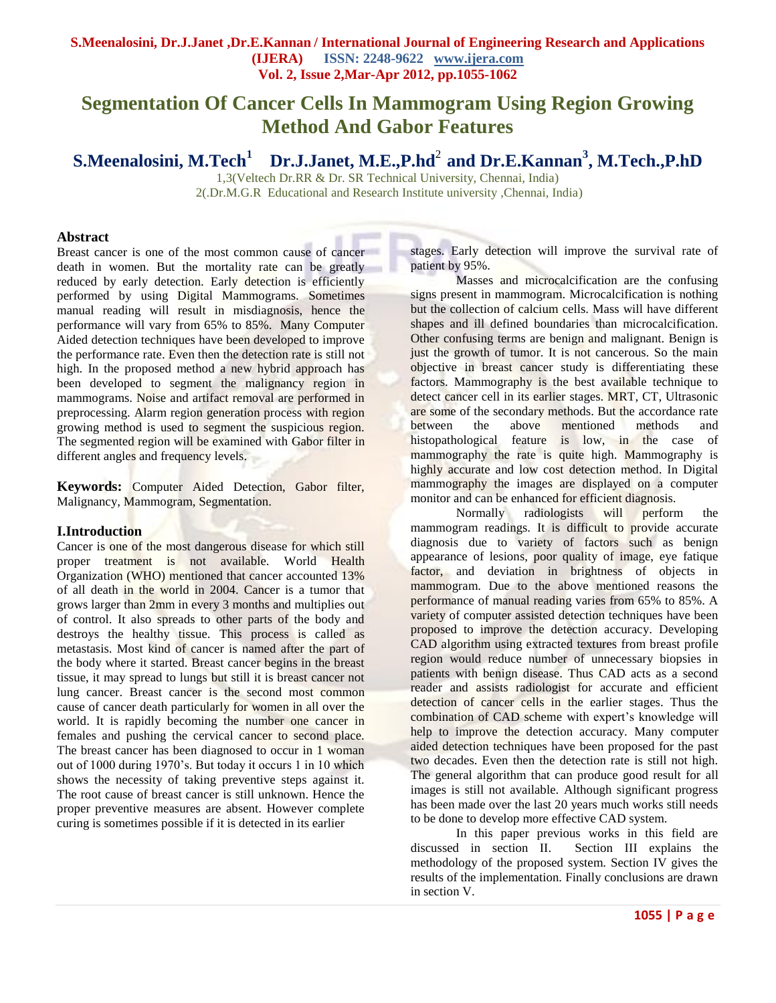# **Segmentation Of Cancer Cells In Mammogram Using Region Growing Method And Gabor Features**

**S.Meenalosini, M.Tech<sup>1</sup> Dr.J.Janet, M.E.,P.hd**<sup>2</sup>**and Dr.E.Kannan<sup>3</sup> , M.Tech.,P.hD**

1,3(Veltech Dr.RR & Dr. SR Technical University, Chennai, India) 2(.Dr.M.G.R Educational and Research Institute university ,Chennai, India)

#### **Abstract**

Breast cancer is one of the most common cause of cancer death in women. But the mortality rate can be greatly reduced by early detection. Early detection is efficiently performed by using Digital Mammograms. Sometimes manual reading will result in misdiagnosis, hence the performance will vary from 65% to 85%. Many Computer Aided detection techniques have been developed to improve the performance rate. Even then the detection rate is still not high. In the proposed method a new hybrid approach has been developed to segment the malignancy region in mammograms. Noise and artifact removal are performed in preprocessing. Alarm region generation process with region growing method is used to segment the suspicious region. The segmented region will be examined with Gabor filter in different angles and frequency levels.

**Keywords:** Computer Aided Detection, Gabor filter, Malignancy, Mammogram, Segmentation.

#### **I.Introduction**

Cancer is one of the most dangerous disease for which still proper treatment is not available. World Health Organization (WHO) mentioned that cancer accounted 13% of all death in the world in 2004. Cancer is a tumor that grows larger than 2mm in every 3 months and multiplies out of control. It also spreads to other parts of the body and destroys the healthy tissue. This process is called as metastasis. Most kind of cancer is named after the part of the body where it started. Breast cancer begins in the breast tissue, it may spread to lungs but still it is breast cancer not lung cancer. Breast cancer is the second most common cause of cancer death particularly for women in all over the world. It is rapidly becoming the number one cancer in females and pushing the cervical cancer to second place. The breast cancer has been diagnosed to occur in 1 woman out of 1000 during 1970"s. But today it occurs 1 in 10 which shows the necessity of taking preventive steps against it. The root cause of breast cancer is still unknown. Hence the proper preventive measures are absent. However complete curing is sometimes possible if it is detected in its earlier

stages. Early detection will improve the survival rate of patient by 95%.

Masses and microcalcification are the confusing signs present in mammogram. Microcalcification is nothing but the collection of calcium cells. Mass will have different shapes and ill defined boundaries than microcalcification. Other confusing terms are benign and malignant. Benign is just the growth of tumor. It is not cancerous. So the main objective in breast cancer study is differentiating these factors. Mammography is the best available technique to detect cancer cell in its earlier stages. MRT, CT, Ultrasonic are some of the secondary methods. But the accordance rate between the above mentioned methods and histopathological feature is low, in the case of mammography the rate is quite high. Mammography is highly accurate and low cost detection method. In Digital mammography the images are displayed on a computer monitor and can be enhanced for efficient diagnosis.

Normally radiologists will perform the mammogram readings. It is difficult to provide accurate diagnosis due to variety of factors such as benign appearance of lesions, poor quality of image, eye fatique factor, and deviation in brightness of objects in mammogram. Due to the above mentioned reasons the performance of manual reading varies from 65% to 85%. A variety of computer assisted detection techniques have been proposed to improve the detection accuracy. Developing CAD algorithm using extracted textures from breast profile region would reduce number of unnecessary biopsies in patients with benign disease. Thus CAD acts as a second reader and assists radiologist for accurate and efficient detection of cancer cells in the earlier stages. Thus the combination of CAD scheme with expert's knowledge will help to improve the detection accuracy. Many computer aided detection techniques have been proposed for the past two decades. Even then the detection rate is still not high. The general algorithm that can produce good result for all images is still not available. Although significant progress has been made over the last 20 years much works still needs to be done to develop more effective CAD system.

In this paper previous works in this field are discussed in section II. Section III explains the methodology of the proposed system. Section IV gives the results of the implementation. Finally conclusions are drawn in section V.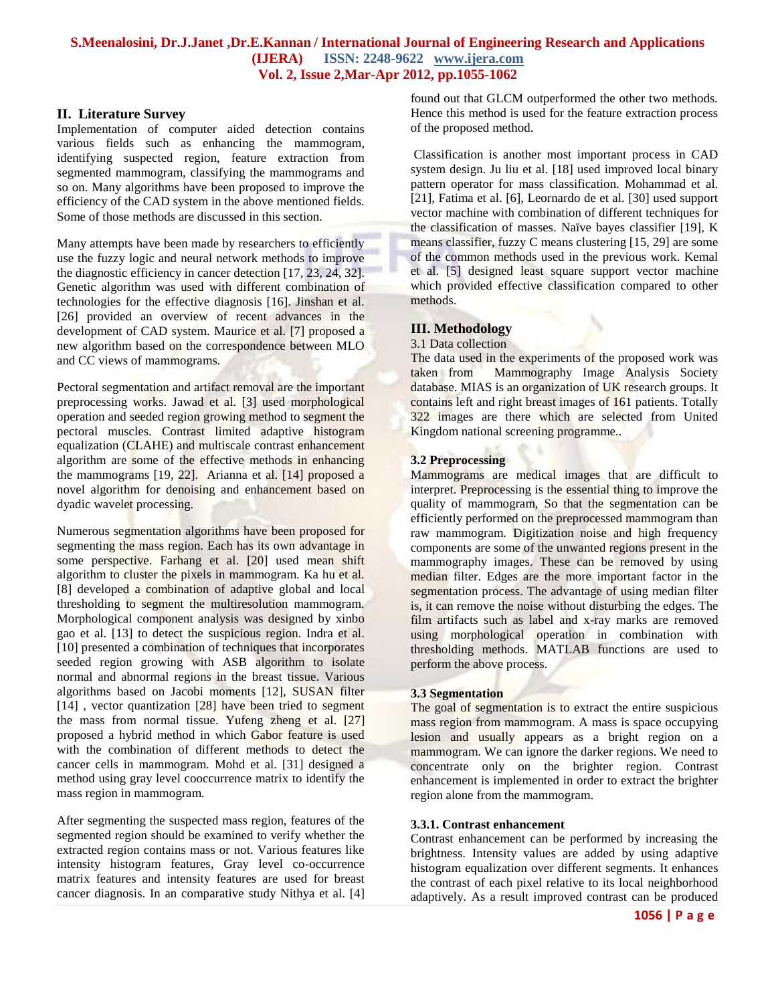## **II. Literature Survey**

Implementation of computer aided detection contains various fields such as enhancing the mammogram, identifying suspected region, feature extraction from segmented mammogram, classifying the mammograms and so on. Many algorithms have been proposed to improve the efficiency of the CAD system in the above mentioned fields. Some of those methods are discussed in this section.

Many attempts have been made by researchers to efficiently use the fuzzy logic and neural network methods to improve the diagnostic efficiency in cancer detection [17, 23, 24, 32]. Genetic algorithm was used with different combination of technologies for the effective diagnosis [16]. Jinshan et al. [26] provided an overview of recent advances in the development of CAD system. Maurice et al. [7] proposed a new algorithm based on the correspondence between MLO and CC views of mammograms.

Pectoral segmentation and artifact removal are the important preprocessing works. Jawad et al. [3] used morphological operation and seeded region growing method to segment the pectoral muscles. Contrast limited adaptive histogram equalization (CLAHE) and multiscale contrast enhancement algorithm are some of the effective methods in enhancing the mammograms [19, 22]. Arianna et al. [14] proposed a novel algorithm for denoising and enhancement based on dyadic wavelet processing.

Numerous segmentation algorithms have been proposed for segmenting the mass region. Each has its own advantage in some perspective. Farhang et al. [20] used mean shift algorithm to cluster the pixels in mammogram. Ka hu et al. [8] developed a combination of adaptive global and local thresholding to segment the multiresolution mammogram. Morphological component analysis was designed by xinbo gao et al. [13] to detect the suspicious region. Indra et al. [10] presented a combination of techniques that incorporates seeded region growing with ASB algorithm to isolate normal and abnormal regions in the breast tissue. Various algorithms based on Jacobi moments [12], SUSAN filter [14], vector quantization [28] have been tried to segment the mass from normal tissue. Yufeng zheng et al. [27] proposed a hybrid method in which Gabor feature is used with the combination of different methods to detect the cancer cells in mammogram. Mohd et al. [31] designed a method using gray level cooccurrence matrix to identify the mass region in mammogram.

After segmenting the suspected mass region, features of the segmented region should be examined to verify whether the extracted region contains mass or not. Various features like intensity histogram features, Gray level co-occurrence matrix features and intensity features are used for breast cancer diagnosis. In an comparative study Nithya et al. [4] found out that GLCM outperformed the other two methods. Hence this method is used for the feature extraction process of the proposed method.

Classification is another most important process in CAD system design. Ju liu et al. [18] used improved local binary pattern operator for mass classification. Mohammad et al. [21], Fatima et al. [6], Leornardo de et al. [30] used support vector machine with combination of different techniques for the classification of masses. Naïve bayes classifier [19], K means classifier, fuzzy C means clustering [15, 29] are some of the common methods used in the previous work. Kemal et al. [5] designed least square support vector machine which provided effective classification compared to other methods.

## **III. Methodology**

#### 3.1 Data collection

The data used in the experiments of the proposed work was taken from Mammography Image Analysis Society database. MIAS is an organization of UK research groups. It contains left and right breast images of 161 patients. Totally 322 images are there which are selected from United Kingdom national screening programme..

### **3.2 Preprocessing**

Mammograms are medical images that are difficult to interpret. Preprocessing is the essential thing to improve the quality of mammogram, So that the segmentation can be efficiently performed on the preprocessed mammogram than raw mammogram. Digitization noise and high frequency components are some of the unwanted regions present in the mammography images. These can be removed by using median filter. Edges are the more important factor in the segmentation process. The advantage of using median filter is, it can remove the noise without disturbing the edges. The film artifacts such as label and x-ray marks are removed using morphological operation in combination with thresholding methods. MATLAB functions are used to perform the above process.

#### **3.3 Segmentation**

The goal of segmentation is to extract the entire suspicious mass region from mammogram. A mass is space occupying lesion and usually appears as a bright region on a mammogram. We can ignore the darker regions. We need to concentrate only on the brighter region. Contrast enhancement is implemented in order to extract the brighter region alone from the mammogram.

#### **3.3.1. Contrast enhancement**

Contrast enhancement can be performed by increasing the brightness. Intensity values are added by using adaptive histogram equalization over different segments. It enhances the contrast of each pixel relative to its local neighborhood adaptively. As a result improved contrast can be produced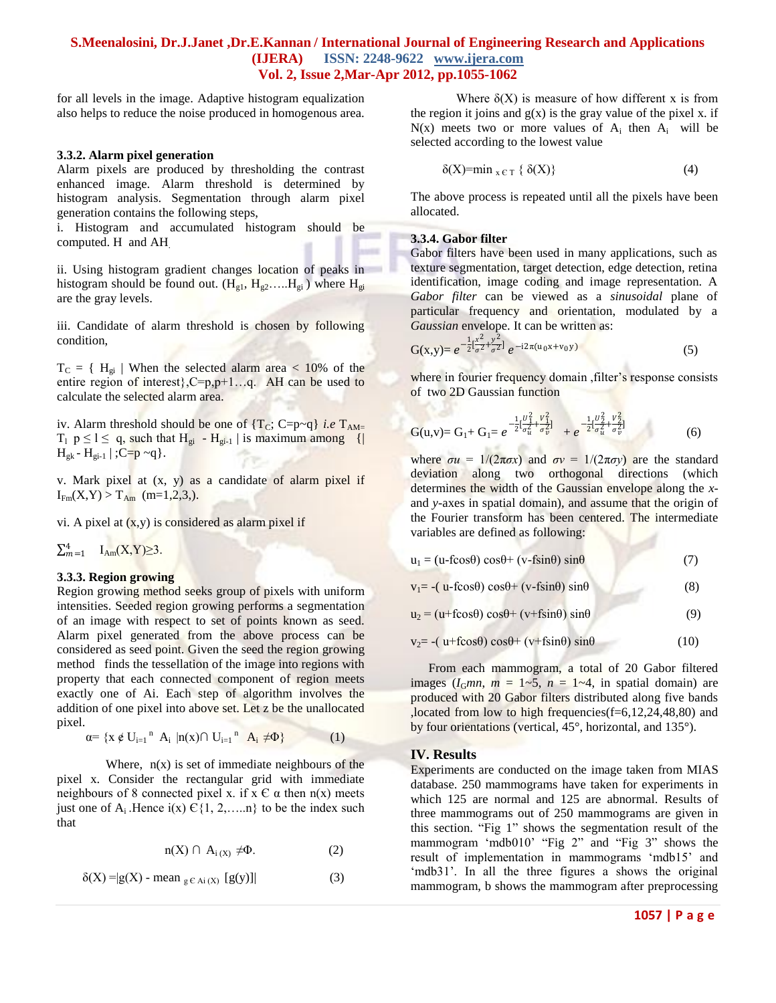for all levels in the image. Adaptive histogram equalization also helps to reduce the noise produced in homogenous area.

#### **3.3.2. Alarm pixel generation**

Alarm pixels are produced by thresholding the contrast enhanced image. Alarm threshold is determined by histogram analysis. Segmentation through alarm pixel generation contains the following steps,

i. Histogram and accumulated histogram should be computed. H and AH.

ii. Using histogram gradient changes location of peaks in histogram should be found out.  $(H_{g1}, H_{g2},..., H_{gi})$  where  $H_{gi}$ are the gray levels.

iii. Candidate of alarm threshold is chosen by following condition,

 $T_C = \{ H_{gi} |$  When the selected alarm area < 10% of the entire region of interest}, C=p, p+1...q. AH can be used to calculate the selected alarm area.

iv. Alarm threshold should be one of  ${T<sub>C</sub>; C=p<sub>~</sub>q}$  *i.e*  ${T<sub>AM=</sub>}$  $T_1$   $p \le l \le q$ , such that  $H_{gi}$  -  $H_{gi-l}$  is maximum among {|  $H_{gk}$  -  $H_{gi-1}$  | ; C=p ~q }.

v. Mark pixel at (x, y) as a candidate of alarm pixel if  $I_{Fm}(X,Y) > T_{Am}$  (m=1,2,3,).

vi. A pixel at  $(x, y)$  is considered as alarm pixel if

 $\sum_{m=1}^4$   $I_{Am}(X,Y) \geq 3$ .

#### **3.3.3. Region growing**

Region growing method seeks group of pixels with uniform intensities. Seeded region growing performs a segmentation of an image with respect to set of points known as seed. Alarm pixel generated from the above process can be considered as seed point. Given the seed the region growing method finds the tessellation of the image into regions with property that each connected component of region meets exactly one of Ai. Each step of algorithm involves the addition of one pixel into above set. Let z be the unallocated pixel.

$$
\alpha = \{ x \notin U_{i=1}^n \ A_i \ | n(x) \cap U_{i=1}^n \ A_i \neq \Phi \}
$$
 (1)

Where,  $n(x)$  is set of immediate neighbours of the pixel x. Consider the rectangular grid with immediate neighbours of 8 connected pixel x. if  $x \in \alpha$  then  $n(x)$  meets just one of A<sub>i</sub>.Hence i(x)  $\widehat{C}\{1, 2, \ldots \}$  to be the index such that

$$
n(X) \cap A_{i(X)} \neq \Phi. \tag{2}
$$

$$
\delta(X) = |g(X) - \text{mean}_{g \in Ai(X)} [g(y)]|
$$
 (3)

Where  $\delta(X)$  is measure of how different x is from the region it joins and  $g(x)$  is the gray value of the pixel x. if  $N(x)$  meets two or more values of  $A_i$  then  $A_i$  will be selected according to the lowest value

$$
\delta(X) = \min_{x \in T} \{ \delta(X) \} \tag{4}
$$

The above process is repeated until all the pixels have been allocated.

#### **3.3.4. Gabor filter**

Gabor filters have been used in many applications, such as texture segmentation, target detection, edge detection, retina identification, image coding and image representation. A *Gabor filter* can be viewed as a *sinusoidal* plane of particular frequency and orientation, modulated by a *Gaussian* envelope. It can be written as:

$$
G(x,y) = e^{-\frac{1}{2} \left[\frac{x^2}{\sigma^2} + \frac{y^2}{\sigma^2}\right]} e^{-i2\pi(u_0x + v_0y)}
$$
(5)

where in fourier frequency domain , filter's response consists of two 2D Gaussian function

$$
G(u,v) = G_1 + G_1 = e^{-\frac{1}{2}[\frac{v_1^2}{\sigma_u^2} + \frac{v_1^2}{\sigma_v^2}]} + e^{-\frac{1}{2}[\frac{v_2^2}{\sigma_u^2} + \frac{v_2^2}{\sigma_v^2}]} \tag{6}
$$

where  $\sigma u = 1/(2\pi\sigma x)$  and  $\sigma v = 1/(2\pi\sigma y)$  are the standard deviation along two orthogonal directions (which determines the width of the Gaussian envelope along the *x*and *y*-axes in spatial domain), and assume that the origin of the Fourier transform has been centered. The intermediate variables are defined as following:

| $u_1 = (u-fcos\theta) cos\theta + (v-fsin\theta) sin\theta$ | (7) |
|-------------------------------------------------------------|-----|
|-------------------------------------------------------------|-----|

 $v_1 = -(u-f\cos\theta)\cos\theta + (v-f\sin\theta)\sin\theta$  (8)

 $u_2 = (u + f \cos \theta) \cos \theta + (v + f \sin \theta) \sin \theta$  (9)

 $v_2$ = -( u+fcos $\theta$ ) cos $\theta$ + (v+fsin $\theta$ ) sin $\theta$  (10)

From each mammogram, a total of 20 Gabor filtered images  $(I_Gmn, m = 1-5, n = 1-4,$  in spatial domain) are produced with 20 Gabor filters distributed along five bands ,located from low to high frequencies(f=6,12,24,48,80) and by four orientations (vertical, 45°, horizontal, and 135°).

## **IV. Results**

Experiments are conducted on the image taken from MIAS database. 250 mammograms have taken for experiments in which 125 are normal and 125 are abnormal. Results of three mammograms out of 250 mammograms are given in this section. "Fig 1" shows the segmentation result of the mammogram "mdb010" "Fig 2" and "Fig 3" shows the result of implementation in mammograms "mdb15" and 'mdb31'. In all the three figures a shows the original mammogram, b shows the mammogram after preprocessing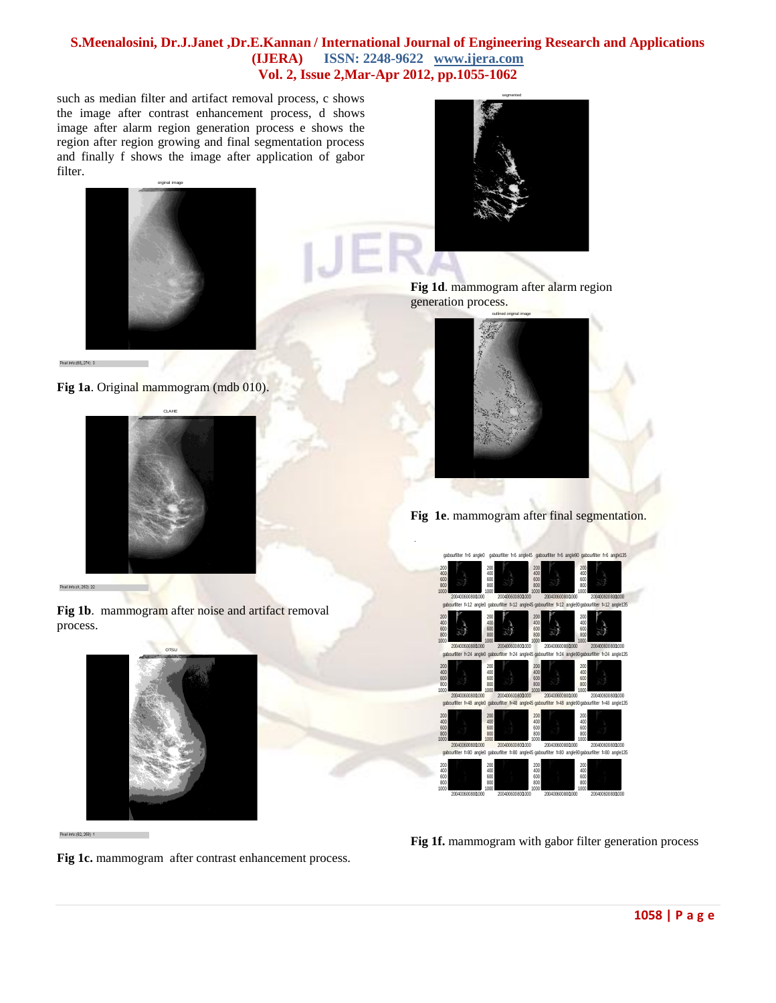such as median filter and artifact removal process, c shows the image after contrast enhancement process, d shows image after alarm region generation process e shows the region after region growing and final segmentation process and finally f shows the image after application of gabor filter.



**Fig 1a**. Original mammogram (mdb 010).



**Fig 1b**. mammogram after noise and artifact removal

process.





**Fig 1d**. mammogram after alarm region generation process.



**Fig 1e**. mammogram after final segmentation.



**Fig 1f.** mammogram with gabor filter generation process

**Fig 1c.** mammogram after contrast enhancement process.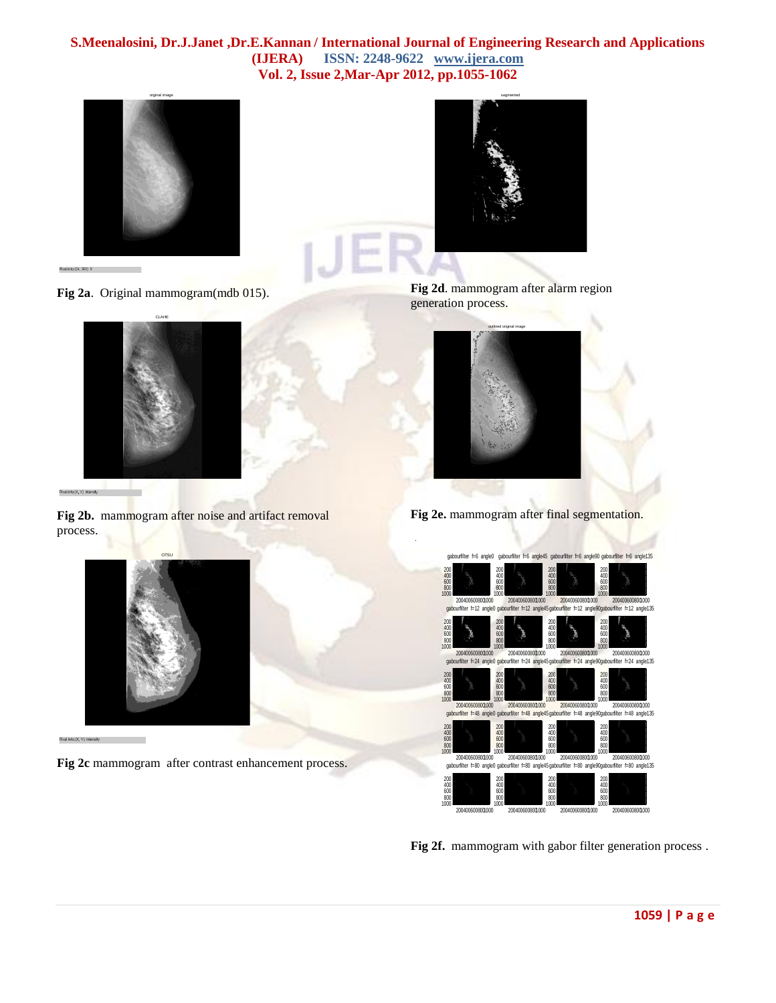





Fig 2b. mammogram after noise and artifact removal process.



**Fig 2c** mammogram after contrast enhancement process.



**Fig 2d**. mammogram after alarm region generation process.



**Fig 2e.** mammogram after final segmentation.



**Fig 2f.** mammogram with gabor filter generation process .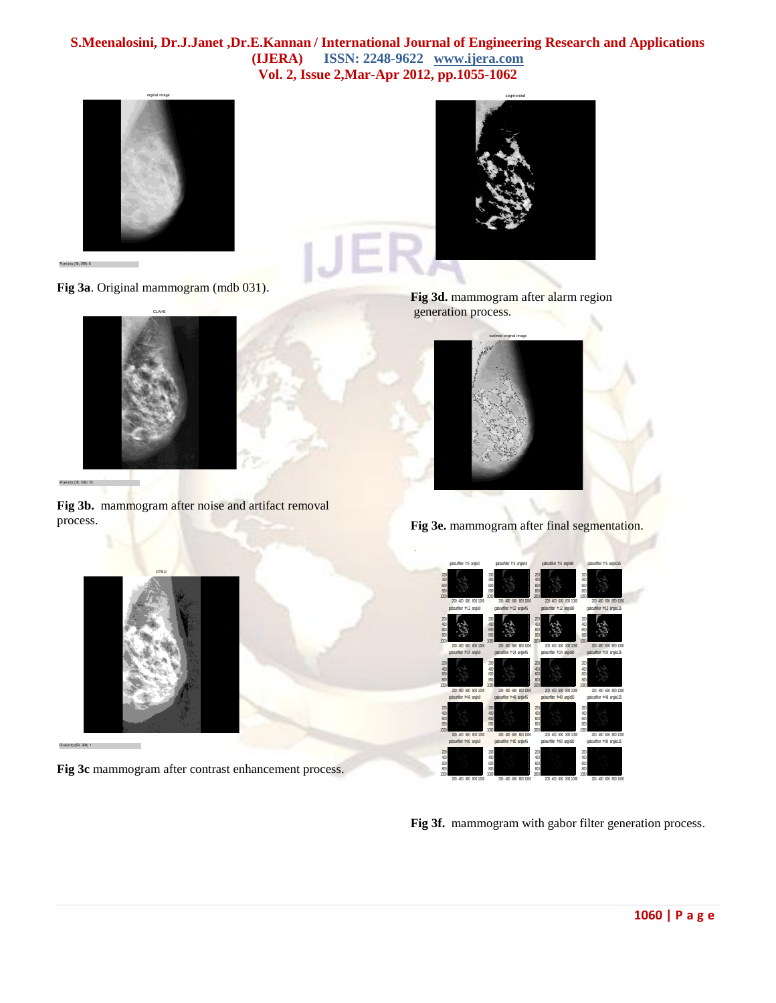



**Fig 3a**. Original mammogram (mdb 031).



Pixel info:  $(28, 248)$  22

**Fig 3b.** mammogram after noise and artifact removal process.



**Fig 3d.** mammogram after alarm region generation process.



**Fig 3e.** mammogram after final segmentation.



Pixel info: (58, 260) 1

**Fig 3c** mammogram after contrast enhancement process.



**Fig 3f.** mammogram with gabor filter generation process.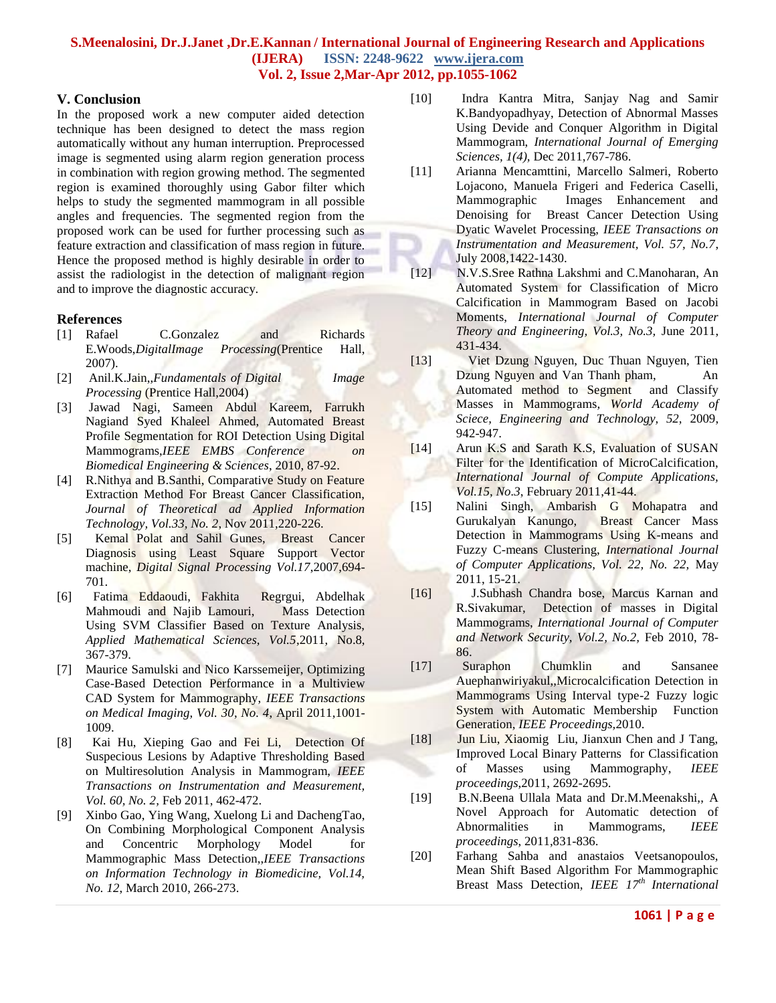#### **V. Conclusion**

In the proposed work a new computer aided detection technique has been designed to detect the mass region automatically without any human interruption. Preprocessed image is segmented using alarm region generation process in combination with region growing method. The segmented region is examined thoroughly using Gabor filter which helps to study the segmented mammogram in all possible angles and frequencies. The segmented region from the proposed work can be used for further processing such as feature extraction and classification of mass region in future. Hence the proposed method is highly desirable in order to assist the radiologist in the detection of malignant region and to improve the diagnostic accuracy.

#### **References**

- [1] Rafael C.Gonzalez and Richards E.Woods,*DigitalImage Processing*(Prentice Hall, 2007).
- [2] Anil.K.Jain,,*Fundamentals of Digital Image Processing* (Prentice Hall,2004)
- [3] Jawad Nagi, Sameen Abdul Kareem, Farrukh Nagiand Syed Khaleel Ahmed, Automated Breast Profile Segmentation for ROI Detection Using Digital Mammograms,*IEEE EMBS Conference on Biomedical Engineering & Sciences*, 2010, 87-92.
- [4] R.Nithya and B.Santhi, Comparative Study on Feature Extraction Method For Breast Cancer Classification, *Journal of Theoretical ad Applied Information Technology, Vol.33, No. 2*, Nov 2011,220-226.
- [5] Kemal Polat and Sahil Gunes, Breast Cancer Diagnosis using Least Square Support Vector machine, *Digital Signal Processing Vol.17*,2007,694- 701.
- [6] Fatima Eddaoudi, Fakhita Regrgui, Abdelhak Mahmoudi and Najib Lamouri, Mass Detection Using SVM Classifier Based on Texture Analysis, *Applied Mathematical Sciences, Vol.5*,2011, No.8, 367-379.
- [7] Maurice Samulski and Nico Karssemeijer, Optimizing Case-Based Detection Performance in a Multiview CAD System for Mammography, *IEEE Transactions on Medical Imaging, Vol. 30*, *No. 4*, April 2011,1001- 1009.
- [8] Kai Hu, Xieping Gao and Fei Li, Detection Of Suspecious Lesions by Adaptive Thresholding Based on Multiresolution Analysis in Mammogram, *IEEE Transactions on Instrumentation and Measurement, Vol. 60, No. 2,* Feb 2011, 462-472.
- [9] Xinbo Gao, Ying Wang, Xuelong Li and DachengTao, On Combining Morphological Component Analysis and Concentric Morphology Model for Mammographic Mass Detection,,*IEEE Transactions on Information Technology in Biomedicine, Vol.14, No. 12*, March 2010, 266-273.
- [10] Indra Kantra Mitra, Sanjay Nag and Samir K.Bandyopadhyay, Detection of Abnormal Masses Using Devide and Conquer Algorithm in Digital Mammogram, *International Journal of Emerging Sciences, 1(4),* Dec 2011,767-786.
- [11] Arianna Mencamttini, Marcello Salmeri, Roberto Lojacono, Manuela Frigeri and Federica Caselli, Mammographic Images Enhancement and Denoising for Breast Cancer Detection Using Dyatic Wavelet Processing, *IEEE Transactions on Instrumentation and Measurement, Vol. 57, No.7*, July 2008,1422-1430.
- [12] N.V.S.Sree Rathna Lakshmi and C.Manoharan, An Automated System for Classification of Micro Calcification in Mammogram Based on Jacobi Moments, *International Journal of Computer Theory and Engineering, Vol.3, No.3,* June 2011, 431-434.
- [13] Viet Dzung Nguyen, Duc Thuan Nguyen, Tien Dzung Nguyen and Van Thanh pham, An Automated method to Segment and Classify Masses in Mammograms*, World Academy of Sciece, Engineering and Technology, 52,* 2009, 942-947.
- [14] Arun K.S and Sarath K.S, Evaluation of SUSAN Filter for the Identification of MicroCalcification, *International Journal of Compute Applications, Vol.15, No.3*, February 2011,41-44.
- [15] Nalini Singh, Ambarish G Mohapatra and Gurukalyan Kanungo, Breast Cancer Mass Detection in Mammograms Using K-means and Fuzzy C-means Clustering, *International Journal of Computer Applications, Vol. 22, No. 22,* May 2011, 15-21*.*
- [16] J.Subhash Chandra bose, Marcus Karnan and R.Sivakumar, Detection of masses in Digital Mammograms, *International Journal of Computer and Network Security, Vol.2, No.2,* Feb 2010, 78- 86.
- [17] Suraphon Chumklin and Sansanee Auephanwiriyakul,,Microcalcification Detection in Mammograms Using Interval type-2 Fuzzy logic System with Automatic Membership Function Generation*, IEEE Proceedings,*2010.
- [18] Jun Liu, Xiaomig Liu, Jianxun Chen and J Tang, Improved Local Binary Patterns for Classification of Masses using Mammography, *IEEE proceedings*,2011, 2692-2695.
- [19] B.N.Beena Ullala Mata and Dr.M.Meenakshi,, A Novel Approach for Automatic detection of Abnormalities in Mammograms, *IEEE proceedings*, 2011,831-836.
- [20] Farhang Sahba and anastaios Veetsanopoulos, Mean Shift Based Algorithm For Mammographic Breast Mass Detection, *IEEE 17th International*